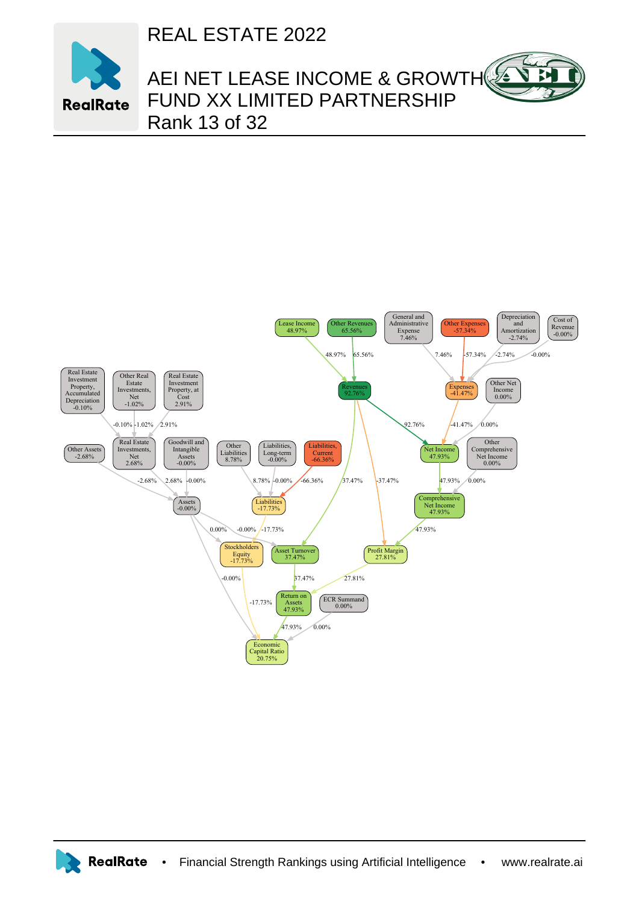REAL ESTATE 2022



## AEI NET LEASE INCOME & GROWTH FUND XX LIMITED PARTNERSHIP Rank 13 of 32